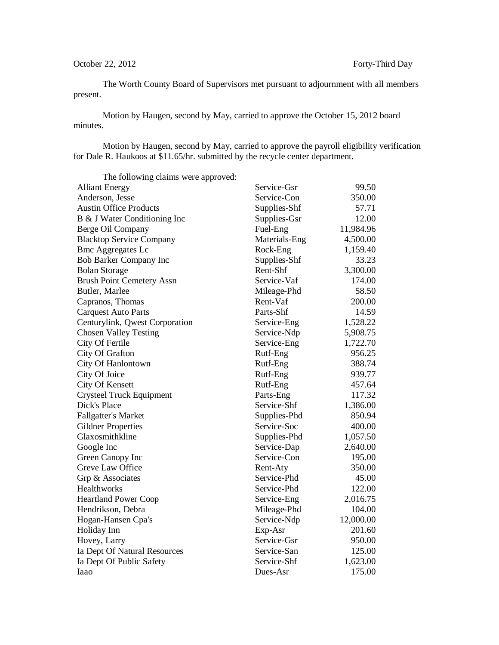The Worth County Board of Supervisors met pursuant to adjournment with all members present.

Motion by Haugen, second by May, carried to approve the October 15, 2012 board minutes.

Motion by Haugen, second by May, carried to approve the payroll eligibility verification for Dale R. Haukoos at \$11.65/hr. submitted by the recycle center department.

| The following claims were approved: |               |           |
|-------------------------------------|---------------|-----------|
| <b>Alliant Energy</b>               | Service-Gsr   | 99.50     |
| Anderson, Jesse                     | Service-Con   | 350.00    |
| <b>Austin Office Products</b>       | Supplies-Shf  | 57.71     |
| B & J Water Conditioning Inc        | Supplies-Gsr  | 12.00     |
| Berge Oil Company                   | Fuel-Eng      | 11,984.96 |
| <b>Blacktop Service Company</b>     | Materials-Eng | 4,500.00  |
| <b>Bmc Aggregates Lc</b>            | Rock-Eng      | 1,159.40  |
| Bob Barker Company Inc              | Supplies-Shf  | 33.23     |
| <b>Bolan Storage</b>                | Rent-Shf      | 3,300.00  |
| <b>Brush Point Cemetery Assn</b>    | Service-Vaf   | 174.00    |
| Butler, Marlee                      | Mileage-Phd   | 58.50     |
| Capranos, Thomas                    | Rent-Vaf      | 200.00    |
| <b>Carquest Auto Parts</b>          | Parts-Shf     | 14.59     |
| Centurylink, Qwest Corporation      | Service-Eng   | 1,528.22  |
| <b>Chosen Valley Testing</b>        | Service-Ndp   | 5,908.75  |
| City Of Fertile                     | Service-Eng   | 1,722.70  |
| City Of Grafton                     | Rutf-Eng      | 956.25    |
| City Of Hanlontown                  | Rutf-Eng      | 388.74    |
| City Of Joice                       | Rutf-Eng      | 939.77    |
| City Of Kensett                     | Rutf-Eng      | 457.64    |
| Crysteel Truck Equipment            | Parts-Eng     | 117.32    |
| Dick's Place                        | Service-Shf   | 1,386.00  |
| <b>Fallgatter's Market</b>          | Supplies-Phd  | 850.94    |
| <b>Gildner Properties</b>           | Service-Soc   | 400.00    |
| Glaxosmithkline                     | Supplies-Phd  | 1,057.50  |
| Google Inc                          | Service-Dap   | 2,640.00  |
| Green Canopy Inc                    | Service-Con   | 195.00    |
| Greve Law Office                    | Rent-Aty      | 350.00    |
| Grp & Associates                    | Service-Phd   | 45.00     |
| Healthworks                         | Service-Phd   | 122.00    |
| <b>Heartland Power Coop</b>         | Service-Eng   | 2,016.75  |
| Hendrikson, Debra                   | Mileage-Phd   | 104.00    |
| Hogan-Hansen Cpa's                  | Service-Ndp   | 12,000.00 |
| Holiday Inn                         | Exp-Asr       | 201.60    |
| Hovey, Larry                        | Service-Gsr   | 950.00    |
| Ia Dept Of Natural Resources        | Service-San   | 125.00    |
| Ia Dept Of Public Safety            | Service-Shf   | 1,623.00  |
| Iaao                                | Dues-Asr      | 175.00    |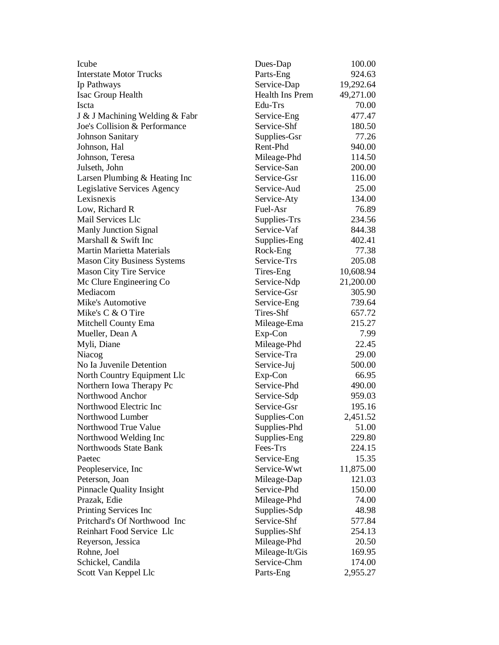| Icube                              | Dues-Dap        | 100.00    |
|------------------------------------|-----------------|-----------|
| <b>Interstate Motor Trucks</b>     | Parts-Eng       | 924.63    |
| Ip Pathways                        | Service-Dap     | 19,292.64 |
| Isac Group Health                  | Health Ins Prem | 49,271.00 |
| Iscta                              | Edu-Trs         | 70.00     |
| J & J Machining Welding & Fabr     | Service-Eng     | 477.47    |
| Joe's Collision & Performance      | Service-Shf     | 180.50    |
| <b>Johnson Sanitary</b>            | Supplies-Gsr    | 77.26     |
| Johnson, Hal                       | Rent-Phd        | 940.00    |
| Johnson, Teresa                    | Mileage-Phd     | 114.50    |
| Julseth, John                      | Service-San     | 200.00    |
| Larsen Plumbing & Heating Inc      | Service-Gsr     | 116.00    |
| Legislative Services Agency        | Service-Aud     | 25.00     |
| Lexisnexis                         | Service-Aty     | 134.00    |
| Low, Richard R                     | Fuel-Asr        | 76.89     |
| Mail Services Llc                  | Supplies-Trs    | 234.56    |
| Manly Junction Signal              | Service-Vaf     | 844.38    |
| Marshall & Swift Inc               | Supplies-Eng    | 402.41    |
| <b>Martin Marietta Materials</b>   | Rock-Eng        | 77.38     |
| <b>Mason City Business Systems</b> | Service-Trs     | 205.08    |
| <b>Mason City Tire Service</b>     | Tires-Eng       | 10,608.94 |
| Mc Clure Engineering Co            | Service-Ndp     | 21,200.00 |
| Mediacom                           | Service-Gsr     | 305.90    |
| Mike's Automotive                  | Service-Eng     | 739.64    |
| Mike's C & O Tire                  | Tires-Shf       | 657.72    |
| Mitchell County Ema                | Mileage-Ema     | 215.27    |
| Mueller, Dean A                    | Exp-Con         | 7.99      |
| Myli, Diane                        | Mileage-Phd     | 22.45     |
| Niacog                             | Service-Tra     | 29.00     |
| No Ia Juvenile Detention           | Service-Juj     | 500.00    |
| North Country Equipment Llc        | Exp-Con         | 66.95     |
| Northern Iowa Therapy Pc           | Service-Phd     | 490.00    |
| Northwood Anchor                   | Service-Sdp     | 959.03    |
| Northwood Electric Inc             | Service-Gsr     | 195.16    |
| Northwood Lumber                   | Supplies-Con    | 2,451.52  |
| Northwood True Value               | Supplies-Phd    | 51.00     |
| Northwood Welding Inc              | Supplies-Eng    | 229.80    |
| Northwoods State Bank              | Fees-Trs        | 224.15    |
| Paetec                             | Service-Eng     | 15.35     |
| Peopleservice, Inc.                | Service-Wwt     | 11,875.00 |
| Peterson, Joan                     | Mileage-Dap     | 121.03    |
| <b>Pinnacle Quality Insight</b>    | Service-Phd     | 150.00    |
| Prazak, Edie                       | Mileage-Phd     | 74.00     |
| Printing Services Inc              | Supplies-Sdp    | 48.98     |
| Pritchard's Of Northwood Inc       | Service-Shf     | 577.84    |
| Reinhart Food Service Llc          | Supplies-Shf    | 254.13    |
| Reyerson, Jessica                  | Mileage-Phd     | 20.50     |
| Rohne, Joel                        | Mileage-It/Gis  | 169.95    |
| Schickel, Candila                  | Service-Chm     | 174.00    |
| Scott Van Keppel Llc               | Parts-Eng       | 2,955.27  |